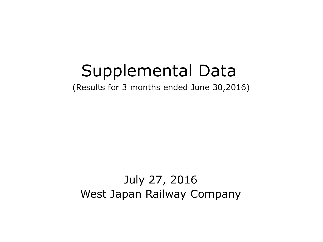# Supplemental Data

(Results for 3 months ended June 30,2016)

## July 27, 2016 West Japan Railway Company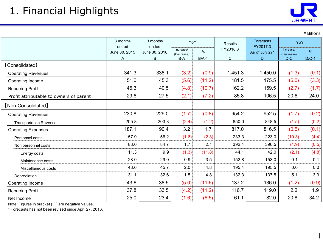### 1. Financial Highlights



¥Billions

|                                         | 3 months<br>3 months<br>ended<br>ended |                    | YoY                            |              | <b>Results</b> | Forecasts<br>FY2017.3 | YoY                              |                 |
|-----------------------------------------|----------------------------------------|--------------------|--------------------------------|--------------|----------------|-----------------------|----------------------------------|-----------------|
|                                         | June 30, 2015<br>A                     | June 30, 2016<br>B | Increase/<br>(Decrease)<br>B-A | %<br>$B/A-1$ | FY2016.3<br>C  | As of July 27*<br>D.  | Increase/<br>(Decrease)<br>$D-C$ | $\%$<br>$D/C-1$ |
| <b>[Consolidated]</b>                   |                                        |                    |                                |              |                |                       |                                  |                 |
| <b>Operating Revenues</b>               | 341.3                                  | 338.1              | (3.2)                          | (0.9)        | 1,451.3        | 1,450.0               | (1.3)                            | (0.1)           |
| Operating Income                        | 51.0                                   | 45.3               | (5.6)                          | (11.2)       | 181.5          | 175.5                 | (6.0)                            | (3.3)           |
| <b>Recurring Profit</b>                 | 45.3                                   | 40.5               | (4.8)                          | (10.7)       | 162.2          | 159.5                 | (2.7)                            | (1.7)           |
| Profit attributable to owners of parent | 29.6                                   | 27.5               | (2.1)                          | (7.2)        | 85.8           | 106.5                 | 20.6                             | 24.0            |
| <b>[Non-Consolidated]</b>               |                                        |                    |                                |              |                |                       |                                  |                 |
| <b>Operating Revenues</b>               | 230.8                                  | 229.0              | (1.7)                          | (0.8)        | 954.2          | 952.5                 | (1.7)                            | (0.2)           |
| <b>Transportation Revenues</b>          | 205.8                                  | 203.3              | (2.4)                          | (1.2)        | 850.0          | 848.5                 | (1.5)                            | (0.2)           |
| <b>Operating Expenses</b>               | 187.1                                  | 190.4              | 3.2                            | 1.7          | 817.0          | 816.5                 | (0.5)                            | (0.1)           |
| Personnel costs                         | 57.9                                   | 56.2               | (1.6)                          | (2.8)        | 233.3          | 223.0                 | (10.3)                           | (4.4)           |
| Non personnel costs                     | 83.0                                   | 84.7               | 1.7                            | 2.1          | 392.4          | 390.5                 | (1.9)                            | (0.5)           |
| Energy costs                            | 11.3                                   | 9.9                | (1.3)                          | (11.8)       | 44.1           | 42.0                  | (2.1)                            | (4.8)           |
| Maintenance costs                       | 28.0                                   | 29.0               | 0.9                            | 3.5          | 152.8          | 153.0                 | 0.1                              | 0.1             |
| Miscellaneous costs                     | 43.6                                   | 45.7               | 2.0                            | 4.8          | 195.4          | 195.5                 | 0.0                              | 0.0             |
| Depreciation                            | 31.1                                   | 32.6               | 1.5                            | 4.8          | 132.3          | 137.5                 | 5.1                              | 3.9             |
| Operating Income                        | 43.6                                   | 38.5               | (5.0)                          | (11.6)       | 137.2          | 136.0                 | (1.2)                            | (0.9)           |
| <b>Recurring Profit</b>                 | 37.8                                   | 33.5               | (4.2)                          | (11.2)       | 116.7          | 119.0                 | 2.2                              | 1.9             |
| Net Income                              | 25.0                                   | 23.4               | (1.6)                          | (6.5)        | 61.1           | 82.0                  | 20.8                             | 34.2            |

Note: Figures in bracket ( ) are negative values.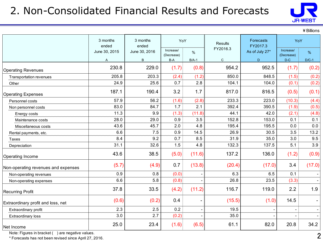#### 2. Non-Consolidated Financial Results and Forecasts



¥Billions

|                                     | 3 months<br>ended | 3 months<br>ended | YoY                     |                | <b>Results</b> | Forecasts<br>FY2017.3 |                         | YoY     |  |
|-------------------------------------|-------------------|-------------------|-------------------------|----------------|----------------|-----------------------|-------------------------|---------|--|
|                                     | June 30, 2015     | June 30, 2016     | Increase/<br>(Decrease) | $\%$           | FY2016.3       | As of July 27*        | Increase/<br>(Decrease) | $\%$    |  |
|                                     | A                 | B                 | $B-A$                   | $B/A-1$        | $\mathsf{C}$   | D                     | $D-C$                   | $D/C-1$ |  |
| <b>Operating Revenues</b>           | 230.8             | 229.0             | (1.7)                   | (0.8)          | 954.2          | 952.5                 | (1.7)                   | (0.2)   |  |
| <b>Transportation revenues</b>      | 205.8             | 203.3             | (2.4)                   | (1.2)          | 850.0          | 848.5                 | (1.5)                   | (0.2)   |  |
| Other                               | 24.9              | 25.6              | 0.7                     | 2.8            | 104.1          | 104.0                 | (0.1)                   | (0.2)   |  |
| <b>Operating Expenses</b>           | 187.1             | 190.4             | 3.2                     | 1.7            | 817.0          | 816.5                 | (0.5)                   | (0.1)   |  |
| Personnel costs                     | 57.9              | 56.2              | (1.6)                   | (2.8)          | 233.3          | 223.0                 | (10.3)                  | (4.4)   |  |
| Non personnel costs                 | 83.0              | 84.7              | 1.7                     | 2.1            | 392.4          | 390.5                 | (1.9)                   | (0.5)   |  |
| Energy costs                        | 11.3              | 9.9               | (1.3)                   | (11.8)         | 44.1           | 42.0                  | (2.1)                   | (4.8)   |  |
| Maintenance costs                   | 28.0              | 29.0              | 0.9                     | 3.5            | 152.8          | 153.0                 | 0.1                     | 0.1     |  |
| Miscellaneous costs                 | 43.6              | 45.7              | 2.0                     | 4.8            | 195.4          | 195.5                 | 0.0                     | 0.0     |  |
| Rental payments, etc.               | 6.6               | 7.5               | 0.9                     | 14.5           | 26.9           | 30.5                  | 3.5                     | 13.2    |  |
| Taxes                               | 8.4               | 9.2               | 0.7                     | 8.5            | 31.9           | 35.0                  | 3.0                     | 9.5     |  |
| Depreciation                        | 31.1              | 32.6              | 1.5                     | 4.8            | 132.3          | 137.5                 | 5.1                     | 3.9     |  |
| Operating Income                    | 43.6              | 38.5              | (5.0)                   | (11.6)         | 137.2          | 136.0                 | (1.2)                   | (0.9)   |  |
| Non-operating revenues and expenses | (5.7)             | (4.9)             | 0.7                     | (13.8)         | (20.4)         | (17.0)                | 3.4                     | (17.0)  |  |
| Non-operating revenues              | 0.9               | 0.8               | (0.0)                   |                | 6.3            | 6.5                   | 0.1                     |         |  |
| Non-operating expenses              | 6.6               | 5.8               | (0.8)                   |                | 26.8           | 23.5                  | (3.3)                   |         |  |
| <b>Recurring Profit</b>             | 37.8              | 33.5              | (4.2)                   | (11.2)         | 116.7          | 119.0                 | 2.2                     | 1.9     |  |
| Extraordinary profit and loss, net  | (0.6)             | (0.2)             | 0.4                     | $\blacksquare$ | (15.5)         | (1.0)                 | 14.5                    |         |  |
| Extraordinary profit                | 2.3               | 2.5               | 0.2                     |                | 19.5           |                       |                         |         |  |
| Extraordinary loss                  | 3.0               | 2.7               | (0.2)                   |                | 35.0           |                       |                         |         |  |
| Net Income                          | 25.0              | 23.4              | (1.6)                   | (6.5)          | 61.1           | 82.0                  | 20.8                    | 34.2    |  |

Note: Figures in bracket () are negative values.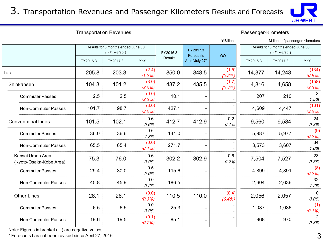3. Transportation Revenues and Passenger-Kilometers Results and Forecasts



Transportation Revenues **Passenger-Kilometers** 

|                                              |                                                      |          |                                   |         |                | ¥ Billions                                           |          | Millions of passenger-kilometers |                        |
|----------------------------------------------|------------------------------------------------------|----------|-----------------------------------|---------|----------------|------------------------------------------------------|----------|----------------------------------|------------------------|
|                                              | Results for 3 months ended June 30<br>$(4/1 - 6/30)$ |          | FY2017.3<br>FY2016.3<br>Forecasts |         | YoY            | Results for 3 months ended June 30<br>$(4/1 - 6/30)$ |          |                                  |                        |
|                                              | FY2016.3                                             | FY2017.3 | YoY                               | Results | As of July 27* |                                                      | FY2016.3 | FY2017.3                         | YoY                    |
| Total                                        | 205.8                                                | 203.3    | (2.4)<br>(1.2%)                   | 850.0   | 848.5          | (1.5)<br>(0.2%)                                      | 14,377   | 14,243                           | (134)<br>$(0.9\%)$     |
| Shinkansen                                   | 104.3                                                | 101.2    | (3.0)<br>$(3.0\%)$                | 437.2   | 435.5          | (1.7)<br>(0.4%                                       | 4,816    | 4,658                            | (158)<br>(3.3%)        |
| <b>Commuter Passes</b>                       | 2.5                                                  | 2.5      | (0.0)<br>(2.3%)                   | 10.1    |                |                                                      | 207      | 210                              | 3<br>1.5%              |
| Non-Commuter Passes                          | 101.7                                                | 98.7     | (3.0)<br>$(3.0\%)$                | 427.1   |                |                                                      | 4,609    | 4,447                            | (161)<br>(3.5%)        |
| <b>Conventional Lines</b>                    | 101.5                                                | 102.1    | 0.6<br>0.6%                       | 412.7   | 412.9          | 0.2<br>0.1%                                          | 9,560    | 9,584                            | 24<br>0.3%             |
| <b>Commuter Passes</b>                       | 36.0                                                 | 36.6     | 0.6<br>1.8%                       | 141.0   |                |                                                      | 5,987    | 5,977                            | (9)<br>(0.2%)          |
| Non-Commuter Passes                          | 65.5                                                 | 65.4     | (0.0)<br>$(0.1\%)$                | 271.7   |                |                                                      | 3,573    | 3,607                            | 34<br>1.0%             |
| Kansai Urban Area<br>(Kyoto-Osaka-Kobe Area) | 75.3                                                 | 76.0     | 0.6<br>0.9%                       | 302.2   | 302.9          | 0.6<br>0.2%                                          | 7,504    | 7,527                            | 23<br>0.3%             |
| <b>Commuter Passes</b>                       | 29.4                                                 | 30.0     | 0.5<br>2.0%                       | 115.6   |                |                                                      | 4,899    | 4,891                            | (8)<br>(0.2%)          |
| Non-Commuter Passes                          | 45.8                                                 | 45.9     | 0.0<br>0.2%                       | 186.5   |                |                                                      | 2,604    | 2,636                            | 32<br>1.2%             |
| <b>Other Lines</b>                           | 26.1                                                 | 26.1     | (0.0)<br>(0.3%)                   | 110.5   | 110.0          | (0.4)<br>(0.4%                                       | 2,056    | 2,057                            | $\mathbf{0}$<br>0.0%   |
| <b>Commuter Passes</b>                       | 6.5                                                  | 6.5      | 0.0<br>0.9%                       | 25.3    |                |                                                      | 1,087    | 1,086                            | (1)<br>$(0.1\%)$       |
| Non-Commuter Passes                          | 19.6                                                 | 19.5     | (0.1)<br>(0.7%)                   | 85.1    |                |                                                      | 968      | 970                              | $\overline{2}$<br>0.3% |
|                                              |                                                      |          |                                   |         |                |                                                      |          |                                  |                        |

Note: Figures in bracket () are negative values.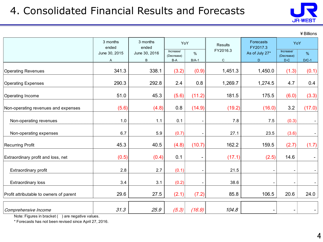

¥Billions

|                                         | 3 months<br>ended  | 3 months<br>ended  | YoY                            |              | <b>Results</b>          | Forecasts<br>FY2017.3 |                                                                                                                    |                          |
|-----------------------------------------|--------------------|--------------------|--------------------------------|--------------|-------------------------|-----------------------|--------------------------------------------------------------------------------------------------------------------|--------------------------|
|                                         | June 30, 2015<br>A | June 30, 2016<br>B | Increase/<br>(Decrease)<br>B-A | %<br>$B/A-1$ | FY2016.3<br>$\mathsf C$ | As of July 27*<br>D   | YoY<br>Increase/<br>(Decrease)<br>$D-C$<br>(1.3)<br>4.7<br>(6.0)<br>3.2<br>(0.3)<br>(3.6)<br>(2.7)<br>14.6<br>20.6 | $\%$<br>$D/C-1$          |
| <b>Operating Revenues</b>               | 341.3              | 338.1              | (3.2)                          | (0.9)        | 1,451.3                 | 1,450.0               |                                                                                                                    | (0.1)                    |
| <b>Operating Expenses</b>               | 290.3              | 292.8              | 2.4                            | 0.8          | 1,269.7                 | 1,274.5               |                                                                                                                    | 0.4                      |
| Operating Income                        | 51.0               | 45.3               | (5.6)                          | (11.2)       | 181.5                   | 175.5                 |                                                                                                                    | (3.3)                    |
| Non-operating revenues and expenses     | (5.6)              | (4.8)              | 0.8                            | (14.9)       | (19.2)                  | (16.0)                |                                                                                                                    | (17.0)                   |
| Non-operating revenues                  | 1.0                | 1.1                | 0.1                            |              | 7.8                     | 7.5                   |                                                                                                                    |                          |
| Non-operating expenses                  | 6.7                | 5.9                | (0.7)                          |              | 27.1                    | 23.5                  |                                                                                                                    |                          |
| <b>Recurring Profit</b>                 | 45.3               | 40.5               | (4.8)                          | (10.7)       | 162.2                   | 159.5                 |                                                                                                                    | (1.7)                    |
| Extraordinary profit and loss, net      | (0.5)              | (0.4)              | 0.1                            |              | (17.1)                  | (2.5)                 |                                                                                                                    | $\overline{\phantom{a}}$ |
| Extraordinary profit                    | 2.8                | 2.7                | (0.1)                          |              | 21.5                    |                       |                                                                                                                    |                          |
| Extraordinary loss                      | 3.4                | 3.1                | (0.2)                          |              | 38.6                    |                       |                                                                                                                    |                          |
| Profit attributable to owners of parent | 29.6               | 27.5               | (2.1)                          | (7.2)        | 85.8                    | 106.5                 |                                                                                                                    | 24.0                     |
| Comprehensive Income                    | 31.3               | 25.9               | (5.3)                          | (16.9)       | 104.8                   |                       |                                                                                                                    |                          |

Note: Figures in bracket ( ) are negative values.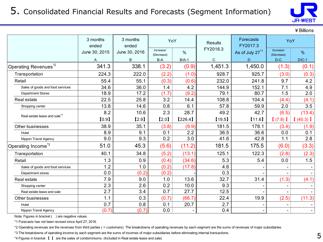

¥Billions

|                                          | 3 months<br>ended | 3 months<br>ended | YoY                     |         | <b>Results</b> | Forecasts<br>FY2017.3       | YoY                     |         |
|------------------------------------------|-------------------|-------------------|-------------------------|---------|----------------|-----------------------------|-------------------------|---------|
|                                          | June 30, 2015     | June 30, 2016     | Increase/<br>(Decrease) | $\%$    | FY2016.3       | As of July 27 <sup>*1</sup> | Increase/<br>(Decrease) | $\%$    |
|                                          | A                 | B                 | B-A                     | $B/A-1$ | $\mathsf C$    | D                           | $D-C$                   | $D/C-1$ |
| Operating Revenues <sup>*2</sup>         | 341.3             | 338.1             | (3.2)                   | (0.9)   | 1,451.3        | 1,450.0                     | (1.3)                   | (0.1)   |
| Transportation                           | 224.3             | 222.0             | (2.2)                   | (1.0)   | 928.7          | 925.7                       | (3.0)                   | (0.3)   |
| Retail                                   | 55.4              | 55.1              | (0.3)                   | (0.6)   | 232.0          | 241.8                       | 9.7                     | 4.2     |
| Sales of goods and food services         | 34.6              | 36.0              | 1.4                     | 4.2     | 144.9          | 152.1                       | 7.1                     | 4.9     |
| <b>Department Stores</b>                 | 18.9              | 17.2              | (1.7)                   | (9.2)   | 79.1           | 80.7                        | 1.5                     | 2.0     |
| Real estate                              | 22.5              | 25.8              | 3.2                     | 14.4    | 108.8          | 104.4                       | (4.4)                   | (4.1)   |
| Shopping center                          | 13.8              | 14.6              | 0.8                     | 6.1     | 57.8           | 59.9                        | 2.0                     | 3.5     |
|                                          | 8.2               | 10.6              | 2.3                     | 28.7    | 49.2           | 42.7                        | (6.5)                   | (13.4)  |
| Real estate lease and sale <sup>*4</sup> | [0.9]             | [2.9]             | [2.0]                   | [226.4] | [19.5]         | [11.6]                      | (7.8)                   | (40.3)  |
| Other businesses                         | 38.9              | 35.1              | (3.8)                   | (9.9)   | 181.5          | 178.1                       | (3.4)                   | (1.9)   |
| Hotel                                    | 8.9               | 9.1               | 0.1                     | 2.2     | 36.5           | 36.6                        | 0.0                     | 0.1     |
| Nippon Travel Agency                     | 9.0               | 9.3               | 0.2                     | 3.0     | 41.6           | 42.8                        | 1.1                     | 2.8     |
| Operating Income <sup>*3</sup>           | 51.0              | 45.3              | (5.6)                   | (11.2)  | 181.5          | 175.5                       | (6.0)                   | (3.3)   |
| Transportation                           | 40.1              | 34.8              | (5.2)                   | (13.1)  | 125.1          | 122.3                       | (2.8)                   | (2.3)   |
| Retail                                   | 1.3               | 0.9               | (0.4)                   | (34.6)  | 5.3            | 5.4                         | 0.0                     | 1.5     |
| Sales of goods and food services         | 1.2               | 1.0               | (0.2)                   | (17.8)  | 4.6            |                             |                         |         |
| Department stores                        | 0.0               | (0.2)             | (0.2)                   |         | 0.3            |                             |                         |         |
| Real estate                              | 7.9               | 9.0               | 1.0                     | 13.6    | 32.7           | 31.4                        | (1.3)                   | (4.1)   |
| Shopping center                          | 2.3               | 2.6               | 0.2                     | 10.0    | 9.3            |                             |                         |         |
| Real estate lease and sale               | 2.7               | 3.4               | 0.7                     | 27.7    | 12.5           |                             |                         |         |
| Other businesses                         | 1.1               | 0.3               | (0.7)                   | (66.7)  | 22.4           | 19.9                        | (2.5)                   | (11.3)  |
| Hotel                                    | 0.7               | 0.8               | 0.1                     | 20.7    | 2.7            |                             |                         |         |
| Nippon Travel Agency                     | (0.7)             | (0.7)             | 0.0                     |         | 0.4            |                             |                         |         |

Note: Figures in bracket () are negative values.

\*1 Forecasts has not been revised since April 27, 2016.

\*2 Operating revenues are the revenues from third parties ( = customers). The breakdowns of operating revenues by each segment are the sums of revenues of major subsidiaries.

\*3 The breakdowns of operating income by each segment are the sums of incomes of major subsidiaries before eliminating internal transactions.

\*4 Figures in bracket 【 】 are the sales of condominiums. (Included in Real estate lease and sale)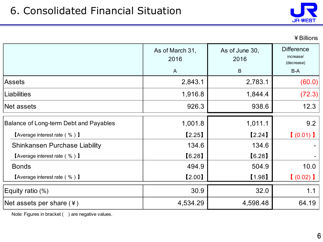

|                                        | As of March 31,<br>2016 | As of June 30,<br>2016 | <b>Difference</b><br>increase/<br>(decrease) |  |
|----------------------------------------|-------------------------|------------------------|----------------------------------------------|--|
|                                        | $\mathsf{A}$            | $\sf B$                | B-A                                          |  |
| <b>Assets</b>                          | 2,843.1                 | 2,783.1                | (60.0)                                       |  |
| Liabilities                            | 1,916.8                 | 1,844.4                | (72.3)                                       |  |
| Net assets                             | 926.3                   | 938.6                  | 12.3                                         |  |
| Balance of Long-term Debt and Payables | 1,001.8                 | 1,011.1                | 9.2                                          |  |
| <b>[Average interest rate (%)</b> ]    | [2.25]                  | [2.24]                 | (0.01)                                       |  |
| Shinkansen Purchase Liability          | 134.6                   | 134.6                  |                                              |  |
| <b>[Average interest rate (%)</b> ]    | [6.28]                  | [6.28]                 |                                              |  |
| <b>Bonds</b>                           | 494.9                   | 504.9                  | 10.0                                         |  |
| <b>[Average interest rate (%)</b> ]    | [2.00]                  | [1.98]                 | $(0.02)$ )                                   |  |
| Equity ratio (%)                       | 30.9                    | 32.0                   | 1.1                                          |  |
| Net assets per share $(*)$             | 4,534.29                | 4,598.48               | 64.19                                        |  |

Note: Figures in bracket () are negative values.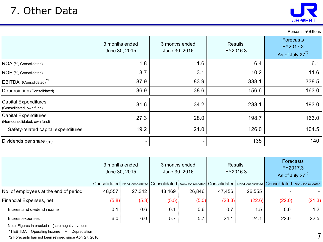Persons, ¥Billions

|                                                             | 3 months ended<br>June 30, 2015 | 3 months ended<br>June 30, 2016 | <b>Results</b><br>FY2016.3 | Forecasts<br>FY2017.3<br>As of July 27 <sup>*2</sup> |
|-------------------------------------------------------------|---------------------------------|---------------------------------|----------------------------|------------------------------------------------------|
| ROA (%, Consolidated)                                       | 1.8                             | 1.6                             | 6.4                        | 6.1                                                  |
| ROE (%, Consolidated)                                       | 3.7                             | 3.1                             | 10.2                       | 11.6                                                 |
| EBITDA (Consolidated) <sup>*1</sup>                         | 87.9                            | 83.9                            | 338.1                      | 338.5                                                |
| Depreciation (Consolidated)                                 | 36.9                            | 38.6                            | 156.6                      | 163.0                                                |
| <b>Capital Expenditures</b><br>(Consolidated, own fund)     | 31.6                            | 34.2                            | 233.1                      | 193.0                                                |
| <b>Capital Expenditures</b><br>(Non-consolidated, own fund) | 27.3                            | 28.0                            | 198.7                      | 163.0                                                |
| Safety-related capital expenditures                         | 19.2                            | 21.0                            | 126.0                      | 104.5                                                |
| Dividends per share $(*)$                                   | $\overline{\phantom{m}}$        |                                 | 135                        | 140                                                  |

|                                       | 3 months ended<br>June 30, 2015 |        | 3 months ended | June 30, 2016 | <b>Results</b>                                                                                                                        | FY2016.3 | <b>Forecasts</b><br>FY2017.3<br>As of July 27 <sup>*2</sup> |        |
|---------------------------------------|---------------------------------|--------|----------------|---------------|---------------------------------------------------------------------------------------------------------------------------------------|----------|-------------------------------------------------------------|--------|
|                                       |                                 |        |                |               | Consolidated   Non-Consolidated   Consolidated   Non-Consolidated   Consolidated   Non-Consolidated   Consolidated   Non-Consolidated |          |                                                             |        |
| No. of employees at the end of period | 48,557                          | 27,342 | 48,469         | 26,846        | 47,456                                                                                                                                | 26,555   |                                                             |        |
| Financial Expenses, net               | (5.8)                           | (5.3)  | (5.5)          | (5.0)         | (23.3)                                                                                                                                | (22.6)   | (22.0)                                                      | (21.3) |
| Interest and dividend income          | 0.1                             | 0.6    | 0.1            | 0.6           | 0.7                                                                                                                                   | 1.5      | 0.6                                                         | 1.2    |
| Interest expenses                     | 6.0                             | 6.0    | 5.7            | 5.7           | 24.1                                                                                                                                  | 24.1     | 22.6                                                        | 22.5   |

Note: Figures in bracket ( ) are negative values.

\*1 EBITDA = Operating Income + Depreciation